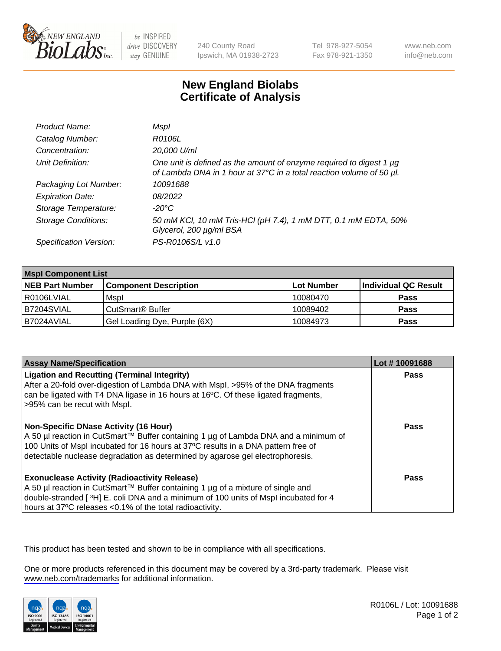

be INSPIRED drive DISCOVERY stay GENUINE

240 County Road Ipswich, MA 01938-2723 Tel 978-927-5054 Fax 978-921-1350

www.neb.com info@neb.com

## **New England Biolabs Certificate of Analysis**

| Product Name:              | Mspl                                                                                                                                        |
|----------------------------|---------------------------------------------------------------------------------------------------------------------------------------------|
| Catalog Number:            | R0106L                                                                                                                                      |
| Concentration:             | 20,000 U/ml                                                                                                                                 |
| Unit Definition:           | One unit is defined as the amount of enzyme required to digest 1 µg<br>of Lambda DNA in 1 hour at 37°C in a total reaction volume of 50 µl. |
| Packaging Lot Number:      | 10091688                                                                                                                                    |
| <b>Expiration Date:</b>    | 08/2022                                                                                                                                     |
| Storage Temperature:       | -20°C                                                                                                                                       |
| <b>Storage Conditions:</b> | 50 mM KCl, 10 mM Tris-HCl (pH 7.4), 1 mM DTT, 0.1 mM EDTA, 50%<br>Glycerol, 200 µg/ml BSA                                                   |
| Specification Version:     | PS-R0106S/L v1.0                                                                                                                            |

| <b>Mspl Component List</b> |                              |            |                      |  |
|----------------------------|------------------------------|------------|----------------------|--|
| <b>NEB Part Number</b>     | <b>Component Description</b> | Lot Number | Individual QC Result |  |
| R0106LVIAL                 | Mspl                         | 10080470   | <b>Pass</b>          |  |
| B7204SVIAL                 | CutSmart <sup>®</sup> Buffer | 10089402   | <b>Pass</b>          |  |
| B7024AVIAL                 | Gel Loading Dye, Purple (6X) | 10084973   | <b>Pass</b>          |  |

| <b>Assay Name/Specification</b>                                                                                                                                                                                                                                                                           | Lot #10091688 |
|-----------------------------------------------------------------------------------------------------------------------------------------------------------------------------------------------------------------------------------------------------------------------------------------------------------|---------------|
| <b>Ligation and Recutting (Terminal Integrity)</b><br>After a 20-fold over-digestion of Lambda DNA with Mspl, >95% of the DNA fragments<br>can be ligated with T4 DNA ligase in 16 hours at 16°C. Of these ligated fragments,<br>>95% can be recut with Mspl.                                             | <b>Pass</b>   |
| <b>Non-Specific DNase Activity (16 Hour)</b><br>A 50 µl reaction in CutSmart™ Buffer containing 1 µg of Lambda DNA and a minimum of<br>100 Units of Mspl incubated for 16 hours at 37°C results in a DNA pattern free of<br>detectable nuclease degradation as determined by agarose gel electrophoresis. | <b>Pass</b>   |
| <b>Exonuclease Activity (Radioactivity Release)</b><br>A 50 µl reaction in CutSmart™ Buffer containing 1 µg of a mixture of single and<br>double-stranded [3H] E. coli DNA and a minimum of 100 units of Mspl incubated for 4<br>hours at 37°C releases <0.1% of the total radioactivity.                 | Pass          |

This product has been tested and shown to be in compliance with all specifications.

One or more products referenced in this document may be covered by a 3rd-party trademark. Please visit <www.neb.com/trademarks>for additional information.